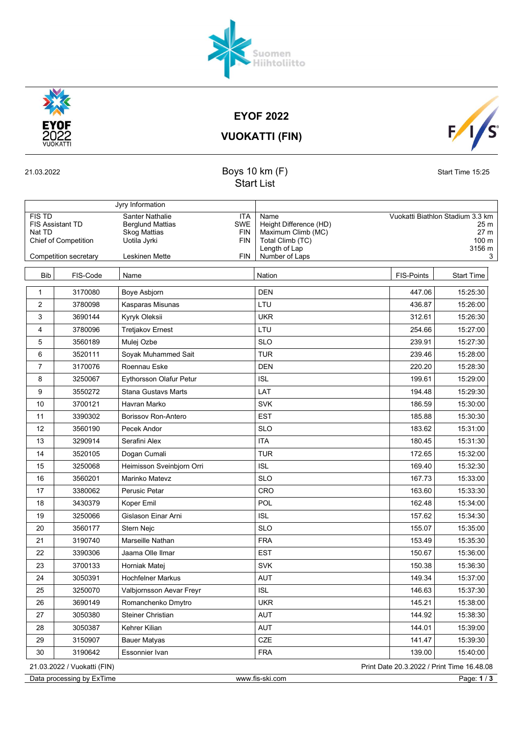

EYOF 2022

S  $\mathsf{F}/\mathsf{F}$ 

VUOKATTI (FIN)



Start List

| Jyry Information                                                           |                       |                                                                                                                             |                                                                                           |                                                                     |                   |
|----------------------------------------------------------------------------|-----------------------|-----------------------------------------------------------------------------------------------------------------------------|-------------------------------------------------------------------------------------------|---------------------------------------------------------------------|-------------------|
| <b>FIS TD</b><br><b>FIS Assistant TD</b><br>Nat TD<br>Chief of Competition |                       | Santer Nathalie<br><b>ITA</b><br><b>Berglund Mattias</b><br>SWE<br><b>FIN</b><br><b>Skog Mattias</b><br>Uotila Jyrki<br>FIN | Name<br>Height Difference (HD)<br>Maximum Climb (MC)<br>Total Climb (TC)<br>Length of Lap | Vuokatti Biathlon Stadium 3.3 km<br>25 m<br>27 m<br>100 m<br>3156 m |                   |
|                                                                            | Competition secretary | Leskinen Mette<br>FIN                                                                                                       | Number of Laps                                                                            |                                                                     | 3                 |
| <b>Bib</b>                                                                 | FIS-Code              | Name                                                                                                                        | Nation                                                                                    | FIS-Points                                                          | <b>Start Time</b> |
| 1                                                                          | 3170080               | Boye Asbjorn                                                                                                                | <b>DEN</b>                                                                                | 447.06                                                              | 15:25:30          |
| $\overline{2}$                                                             | 3780098               | Kasparas Misunas                                                                                                            | LTU                                                                                       | 436.87                                                              | 15:26:00          |
| 3                                                                          | 3690144               | Kyryk Oleksii                                                                                                               | <b>UKR</b>                                                                                | 312.61                                                              | 15:26:30          |
| 4                                                                          | 3780096               | <b>Tretjakov Ernest</b>                                                                                                     | LTU                                                                                       | 254.66                                                              | 15:27:00          |
| 5                                                                          | 3560189               | Mulej Ozbe                                                                                                                  | <b>SLO</b>                                                                                | 239.91                                                              | 15:27:30          |
| 6                                                                          | 3520111               | Soyak Muhammed Sait                                                                                                         | <b>TUR</b>                                                                                | 239.46                                                              | 15:28:00          |
| $\overline{7}$                                                             | 3170076               | Roennau Eske                                                                                                                | <b>DEN</b>                                                                                | 220.20                                                              | 15:28:30          |
| 8                                                                          | 3250067               | Eythorsson Olafur Petur                                                                                                     | <b>ISL</b>                                                                                | 199.61                                                              | 15:29:00          |
| 9                                                                          | 3550272               | <b>Stana Gustavs Marts</b>                                                                                                  | LAT                                                                                       | 194.48                                                              | 15:29:30          |
| 10                                                                         | 3700121               | Havran Marko                                                                                                                | <b>SVK</b>                                                                                | 186.59                                                              | 15:30:00          |
| 11                                                                         | 3390302               | Borissov Ron-Antero                                                                                                         | <b>EST</b>                                                                                | 185.88                                                              | 15:30:30          |
| 12                                                                         | 3560190               | Pecek Andor                                                                                                                 | <b>SLO</b>                                                                                | 183.62                                                              | 15:31:00          |
| 13                                                                         | 3290914               | Serafini Alex                                                                                                               | <b>ITA</b>                                                                                | 180.45                                                              | 15:31:30          |
| 14                                                                         | 3520105               | Dogan Cumali                                                                                                                | <b>TUR</b>                                                                                | 172.65                                                              | 15:32:00          |
| 15                                                                         | 3250068               | Heimisson Sveinbjorn Orri                                                                                                   | <b>ISL</b>                                                                                | 169.40                                                              | 15:32:30          |
| 16                                                                         | 3560201               | Marinko Matevz                                                                                                              | <b>SLO</b>                                                                                | 167.73                                                              | 15:33:00          |
| 17                                                                         | 3380062               | Perusic Petar                                                                                                               | CRO                                                                                       | 163.60                                                              | 15:33:30          |
| 18                                                                         | 3430379               | Koper Emil                                                                                                                  | <b>POL</b>                                                                                | 162.48                                                              | 15:34:00          |
| 19                                                                         | 3250066               | Gislason Einar Arni                                                                                                         | <b>ISL</b>                                                                                | 157.62                                                              | 15:34:30          |
| 20                                                                         | 3560177               | Stern Nejc                                                                                                                  | <b>SLO</b>                                                                                | 155.07                                                              | 15:35:00          |
| 21                                                                         | 3190740               | Marseille Nathan                                                                                                            | <b>FRA</b>                                                                                | 153.49                                                              | 15:35:30          |
| 22                                                                         | 3390306               | Jaama Olle Ilmar                                                                                                            | <b>EST</b>                                                                                | 150.67                                                              | 15:36:00          |
| 23                                                                         | 3700133               | Horniak Matej                                                                                                               | <b>SVK</b>                                                                                | 150.38                                                              | 15:36:30          |
| 24                                                                         | 3050391               | <b>Hochfelner Markus</b>                                                                                                    | <b>AUT</b>                                                                                | 149.34                                                              | 15:37:00          |
| 25                                                                         | 3250070               | Valbjornsson Aevar Freyr                                                                                                    | <b>ISL</b>                                                                                | 146.63                                                              | 15:37:30          |
| 26                                                                         | 3690149               | Romanchenko Dmytro                                                                                                          | UKR                                                                                       | 145.21                                                              | 15:38:00          |
| 27                                                                         | 3050380               | Steiner Christian                                                                                                           | AUT                                                                                       | 144.92                                                              | 15:38:30          |
| 28                                                                         | 3050387               | Kehrer Kilian                                                                                                               | <b>AUT</b>                                                                                | 144.01                                                              | 15:39:00          |
| 29                                                                         | 3150907               | <b>Bauer Matyas</b>                                                                                                         | CZE                                                                                       | 141.47                                                              | 15:39:30          |
| 30                                                                         | 3190642               | Essonnier Ivan                                                                                                              | <b>FRA</b>                                                                                | 139.00                                                              | 15:40:00          |
| 21.03.2022 / Vuokatti (FIN)<br>Print Date 20.3.2022 / Print Time 16.48.08  |                       |                                                                                                                             |                                                                                           |                                                                     |                   |
| Page: 1 / 3<br>Data processing by ExTime<br>www.fis-ski.com                |                       |                                                                                                                             |                                                                                           |                                                                     |                   |

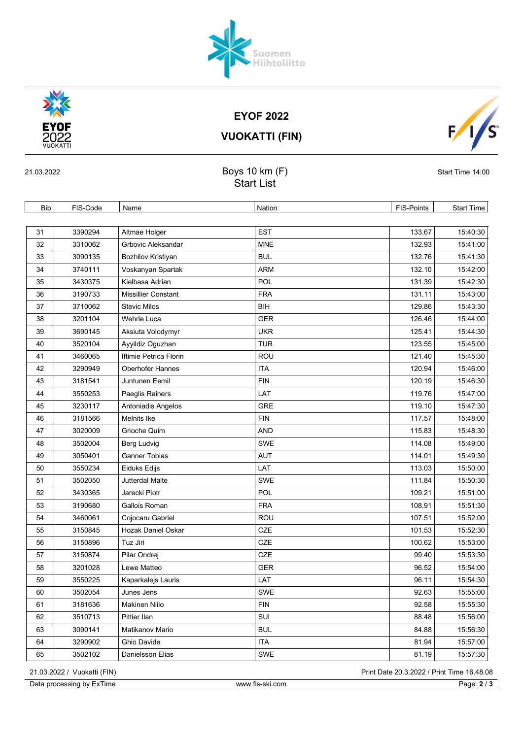## EYOF 2022

| <b>PERSON</b><br><b>EYOF</b><br>2022<br><b>VUOKATTI</b><br>21.03.2022 |          |                                     | <b>EYOF 2022</b><br><b>VUOKATTI (FIN)</b> |                   |                  |
|-----------------------------------------------------------------------|----------|-------------------------------------|-------------------------------------------|-------------------|------------------|
|                                                                       |          | Boys 10 km (F)<br><b>Start List</b> |                                           |                   | Start Time 14:00 |
| Bib                                                                   | FIS-Code | Name                                | <b>Nation</b>                             | <b>FIS-Points</b> | Start Time       |
| 31                                                                    | 3390294  | Altmae Holger                       | <b>EST</b>                                | 133.67            | 15:40:30         |
| 32                                                                    | 3310062  | Grbovic Aleksandar                  | <b>MNE</b>                                | 132.93            | 15:41:00         |
| 33                                                                    | 3090135  | Bozhilov Kristiyan                  | <b>BUL</b>                                | 132.76            | 15:41:30         |
| 34                                                                    | 3740111  | Voskanyan Spartak                   | <b>ARM</b>                                | 132.10            | 15:42:00         |
| 35                                                                    | 3430375  | Kielbasa Adrian                     | POL                                       | 131.39            | 15:42:30         |
| 36                                                                    | 3190733  | <b>Missillier Constant</b>          | <b>FRA</b>                                | 131.11            | 15:43:00         |
| 37                                                                    | 3710062  | <b>Stevic Milos</b>                 | BIH                                       | 129.86            | 15:43:30         |

38 3201104 Wehrle Luca GER CHER 126.46 15:44:00 39 3690145 Aksiuta Volodymyr UKR 125.41 15:44:30 40 3520104 Ayyildiz Oguzhan 123.55 15:45:00 41 3460065 | Iftimie Petrica Florin ROU ROU 121.40 | 121.40 15:45:30 42 3290949 Oberhofer Hannes ITA 120.94 15:46:00 43 3181541 Juntunen Eemil FIN FIN 120.19 15:46:30 44 3550253 Paeglis Rainers LAT 119.76 15:47:00

51 3502050 Jutterdal Malte SWE SWE 111.84 15:50:30 52 3430365 Jarecki Piotr Pole POL 2012 109.21 15:51:00 53 3190680 Gallois Roman FRA 108.91 108.91 15:51:30 54 3460061 Cojocaru Gabriel ROU 107.51 15:52:00 55 3150845 Hozak Daniel Oskar CZE CZE 101.53 15:52:30 56 3150896 Tuz Jiri CZE 100.62 15:53:00 57 3150874 Pilar Ondrej CZE 99.40 15:53:30 58 3201028 Lewe Matteo GER GER 96.52 15:54:00 59 3550225 Kaparkalejs Lauris LAT 96.11 15:54:30 60 3502054 Junes Jens Super SWE SWE 3502054 15:55:00 61 | 3181636 |Makinen Niilo | FIN | FIN | 92.58 | 15:55:30

| 45 | 3230117 | Antoniadis Angelos   | <b>GRE</b> | 119.10 | 15:47:30 |
|----|---------|----------------------|------------|--------|----------|
| 46 | 3181566 | Melnits Ike          | <b>FIN</b> | 117.57 | 15:48:00 |
| 47 | 3020009 | Grioche Quim         | <b>AND</b> | 115.83 | 15:48:30 |
| 48 | 3502004 | Berg Ludvig          | <b>SWE</b> | 114.08 | 15:49:00 |
| 49 | 3050401 | <b>Ganner Tobias</b> | <b>AUT</b> | 114.01 | 15:49:30 |
| 50 | 3550234 | Eiduks Edijs         | LAT        | 113.03 | 15:50:00 |

21.03.2022 / Vuokatti (FIN) Print Date 20.3.2022 / Print Time 16.48.08

Data processing by ExTime www.fis-ski.com Page: 2 / 3









64 3290902 Ghio Davide ITA ITA 81.94 81.94 15:57:00 65 3502102 Danielsson Elias SWE SWE 81.19 81.19 15:57:30